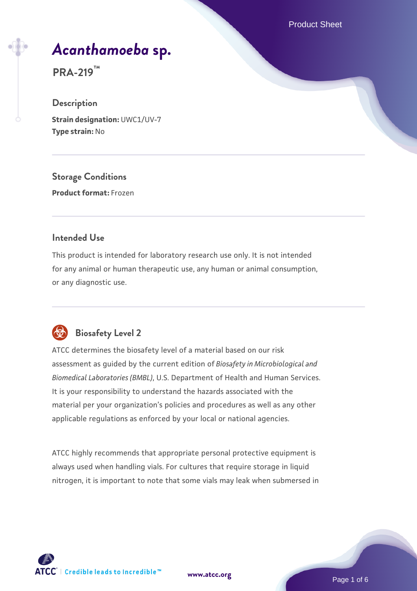Product Sheet

# *[Acanthamoeba](https://www.atcc.org/products/pra-219)* **[sp.](https://www.atcc.org/products/pra-219)**

**PRA-219™**

## **Description**

**Strain designation:** UWC1/UV-7 **Type strain:** No

**Storage Conditions**

**Product format:** Frozen

#### **Intended Use**

This product is intended for laboratory research use only. It is not intended for any animal or human therapeutic use, any human or animal consumption, or any diagnostic use.



## **Biosafety Level 2**

ATCC determines the biosafety level of a material based on our risk assessment as guided by the current edition of *Biosafety in Microbiological and Biomedical Laboratories (BMBL)*, U.S. Department of Health and Human Services. It is your responsibility to understand the hazards associated with the material per your organization's policies and procedures as well as any other applicable regulations as enforced by your local or national agencies.

ATCC highly recommends that appropriate personal protective equipment is always used when handling vials. For cultures that require storage in liquid nitrogen, it is important to note that some vials may leak when submersed in

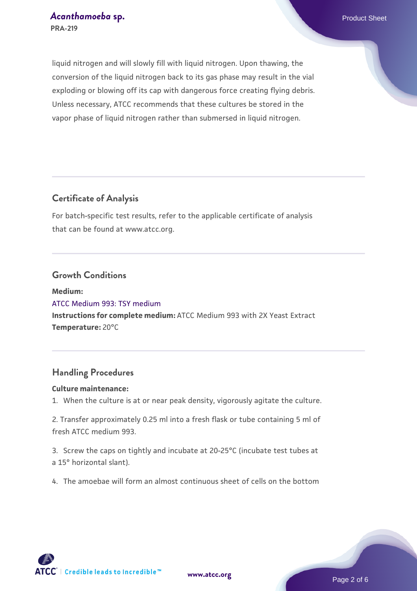liquid nitrogen and will slowly fill with liquid nitrogen. Upon thawing, the conversion of the liquid nitrogen back to its gas phase may result in the vial exploding or blowing off its cap with dangerous force creating flying debris. Unless necessary, ATCC recommends that these cultures be stored in the vapor phase of liquid nitrogen rather than submersed in liquid nitrogen.

## **Certificate of Analysis**

For batch-specific test results, refer to the applicable certificate of analysis that can be found at www.atcc.org.

#### **Growth Conditions**

**Medium:**  [ATCC Medium 993: TSY medium](https://www.atcc.org/-/media/product-assets/documents/microbial-media-formulations/9/9/3/atcc-medium-993.pdf?rev=e98c71ce27d64e36b3a44afcd0053d5a) **Instructions for complete medium:** ATCC Medium 993 with 2X Yeast Extract **Temperature:** 20°C

## **Handling Procedures**

#### **Culture maintenance:**

1. When the culture is at or near peak density, vigorously agitate the culture.

2. Transfer approximately 0.25 ml into a fresh flask or tube containing 5 ml of fresh ATCC medium 993.

3. Screw the caps on tightly and incubate at 20-25°C (incubate test tubes at a 15° horizontal slant).

4. The amoebae will form an almost continuous sheet of cells on the bottom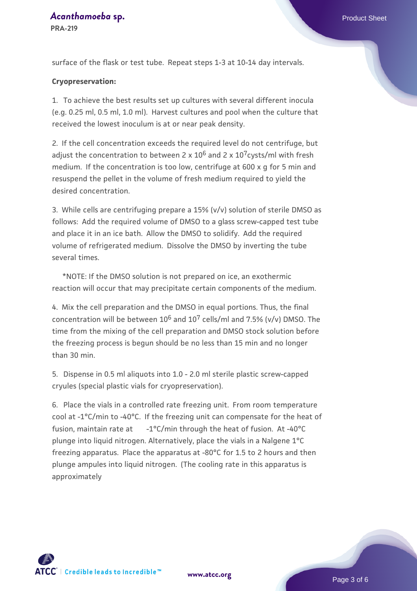## *[Acanthamoeba](https://www.atcc.org/products/pra-219)* **[sp.](https://www.atcc.org/products/pra-219) Product Sheet**

**PRA-219**

#### **Cryopreservation:**

1. To achieve the best results set up cultures with several different inocula (e.g. 0.25 ml, 0.5 ml, 1.0 ml). Harvest cultures and pool when the culture that received the lowest inoculum is at or near peak density.

2. If the cell concentration exceeds the required level do not centrifuge, but adjust the concentration to between 2 x  $10^6$  and 2 x  $10^7$ cysts/ml with fresh medium. If the concentration is too low, centrifuge at 600 x q for 5 min and resuspend the pellet in the volume of fresh medium required to yield the desired concentration.

3. While cells are centrifuging prepare a 15% (v/v) solution of sterile DMSO as follows: Add the required volume of DMSO to a glass screw-capped test tube and place it in an ice bath. Allow the DMSO to solidify. Add the required volume of refrigerated medium. Dissolve the DMSO by inverting the tube several times.

 \*NOTE: If the DMSO solution is not prepared on ice, an exothermic reaction will occur that may precipitate certain components of the medium.

4. Mix the cell preparation and the DMSO in equal portions. Thus, the final concentration will be between  $10^6$  and  $10^7$  cells/ml and 7.5% (v/v) DMSO. The time from the mixing of the cell preparation and DMSO stock solution before the freezing process is begun should be no less than 15 min and no longer than 30 min.

5. Dispense in 0.5 ml aliquots into 1.0 - 2.0 ml sterile plastic screw-capped cryules (special plastic vials for cryopreservation).

6. Place the vials in a controlled rate freezing unit. From room temperature cool at -1°C/min to -40°C. If the freezing unit can compensate for the heat of fusion, maintain rate at  $-1^{\circ}$ C/min through the heat of fusion. At -40 $^{\circ}$ C plunge into liquid nitrogen. Alternatively, place the vials in a Nalgene 1°C freezing apparatus. Place the apparatus at -80°C for 1.5 to 2 hours and then plunge ampules into liquid nitrogen. (The cooling rate in this apparatus is approximately



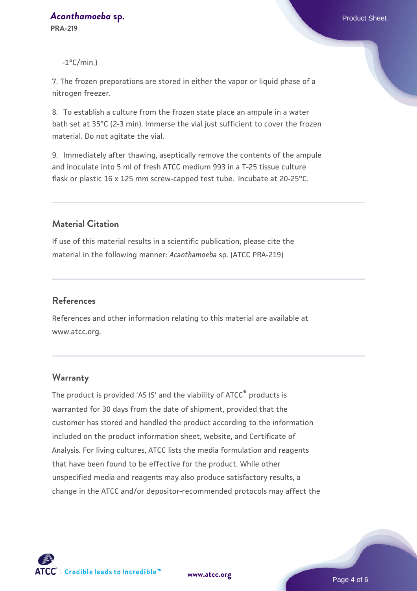$-1^{\circ}$ C/min.)

7. The frozen preparations are stored in either the vapor or liquid phase of a nitrogen freezer.

8. To establish a culture from the frozen state place an ampule in a water bath set at 35°C (2-3 min). Immerse the vial just sufficient to cover the frozen material. Do not agitate the vial.

9. Immediately after thawing, aseptically remove the contents of the ampule and inoculate into 5 ml of fresh ATCC medium 993 in a T-25 tissue culture flask or plastic 16 x 125 mm screw-capped test tube. Incubate at 20-25°C.

## **Material Citation**

If use of this material results in a scientific publication, please cite the material in the following manner: *Acanthamoeba* sp. (ATCC PRA-219)

#### **References**

References and other information relating to this material are available at www.atcc.org.

#### **Warranty**

The product is provided 'AS IS' and the viability of ATCC<sup>®</sup> products is warranted for 30 days from the date of shipment, provided that the customer has stored and handled the product according to the information included on the product information sheet, website, and Certificate of Analysis. For living cultures, ATCC lists the media formulation and reagents that have been found to be effective for the product. While other unspecified media and reagents may also produce satisfactory results, a change in the ATCC and/or depositor-recommended protocols may affect the



**[www.atcc.org](http://www.atcc.org)**

Page 4 of 6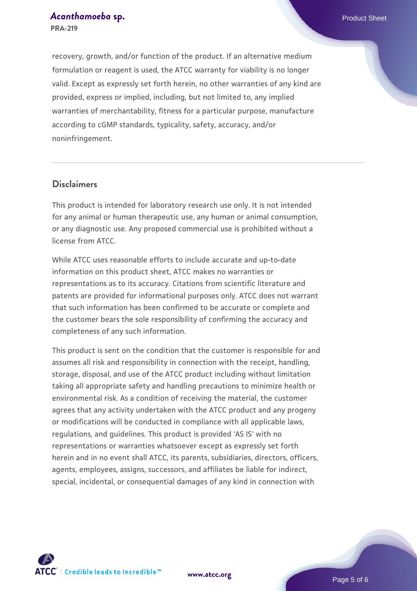recovery, growth, and/or function of the product. If an alternative medium formulation or reagent is used, the ATCC warranty for viability is no longer valid. Except as expressly set forth herein, no other warranties of any kind are provided, express or implied, including, but not limited to, any implied warranties of merchantability, fitness for a particular purpose, manufacture according to cGMP standards, typicality, safety, accuracy, and/or noninfringement.

#### **Disclaimers**

This product is intended for laboratory research use only. It is not intended for any animal or human therapeutic use, any human or animal consumption, or any diagnostic use. Any proposed commercial use is prohibited without a license from ATCC.

While ATCC uses reasonable efforts to include accurate and up-to-date information on this product sheet, ATCC makes no warranties or representations as to its accuracy. Citations from scientific literature and patents are provided for informational purposes only. ATCC does not warrant that such information has been confirmed to be accurate or complete and the customer bears the sole responsibility of confirming the accuracy and completeness of any such information.

This product is sent on the condition that the customer is responsible for and assumes all risk and responsibility in connection with the receipt, handling, storage, disposal, and use of the ATCC product including without limitation taking all appropriate safety and handling precautions to minimize health or environmental risk. As a condition of receiving the material, the customer agrees that any activity undertaken with the ATCC product and any progeny or modifications will be conducted in compliance with all applicable laws, regulations, and guidelines. This product is provided 'AS IS' with no representations or warranties whatsoever except as expressly set forth herein and in no event shall ATCC, its parents, subsidiaries, directors, officers, agents, employees, assigns, successors, and affiliates be liable for indirect, special, incidental, or consequential damages of any kind in connection with